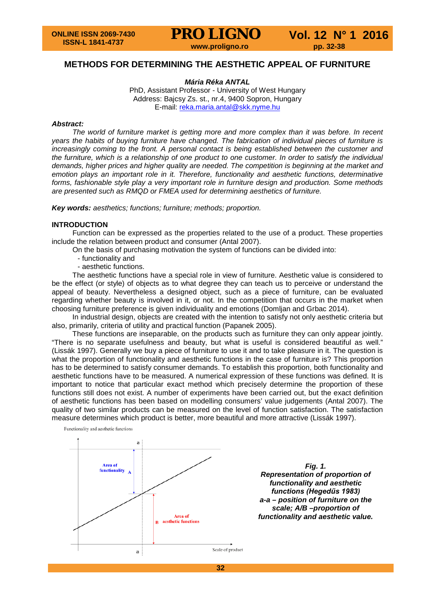### **METHODS FOR DETERMINING THE AESTHETIC APPEAL OF FURNITURE**

*Mária Réka ANTAL*

PhD, Assistant Professor - University of West Hungary Address: Bajcsy Zs. st., nr.4, 9400 Sopron, Hungary E-mail: [reka.maria.antal@skk.nyme.hu](mailto:reka.maria.antal@skk.nyme.hu)

#### *Abstract:*

*The world of furniture market is getting more and more complex than it was before. In recent years the habits of buying furniture have changed. The fabrication of individual pieces of furniture is increasingly coming to the front. A personal contact is being established between the customer and the furniture, which is a relationship of one product to one customer. In order to satisfy the individual demands, higher prices and higher quality are needed. The competition is beginning at the market and emotion plays an important role in it. Therefore, functionality and aesthetic functions, determinative forms, fashionable style play a very important role in furniture design and production. Some methods are presented such as RMQD or FMEA used for determining aesthetics of furniture.*

*Key words: aesthetics; functions; furniture; methods; proportion.*

#### **INTRODUCTION**

Function can be expressed as the properties related to the use of a product. These properties include the relation between product and consumer (Antal 2007).

On the basis of purchasing motivation the system of functions can be divided into:

- functionality and
- aesthetic functions.

The aesthetic functions have a special role in view of furniture. Aesthetic value is considered to be the effect (or style) of objects as to what degree they can teach us to perceive or understand the appeal of beauty. Nevertheless a designed object, such as a piece of furniture, can be evaluated regarding whether beauty is involved in it, or not. In the competition that occurs in the market when choosing furniture preference is given individuality and emotions (Domljan and Grbac 2014).

In industrial design, objects are created with the intention to satisfy not only aesthetic criteria but also, primarily, criteria of utility and practical function (Papanek 2005).

These functions are inseparable, on the products such as furniture they can only appear jointly. "There is no separate usefulness and beauty, but what is useful is considered beautiful as well." (Lissák 1997). Generally we buy a piece of furniture to use it and to take pleasure in it. The question is what the proportion of functionality and aesthetic functions in the case of furniture is? This proportion has to be determined to satisfy consumer demands. To establish this proportion, both functionality and aesthetic functions have to be measured. A numerical expression of these functions was defined. It is important to notice that particular exact method which precisely determine the proportion of these functions still does not exist. A number of experiments have been carried out, but the exact definition of aesthetic functions has been based on modelling consumers' value judgements (Antal 2007). The quality of two similar products can be measured on the level of function satisfaction. The satisfaction measure determines which product is better, more beautiful and more attractive (Lissák 1997).

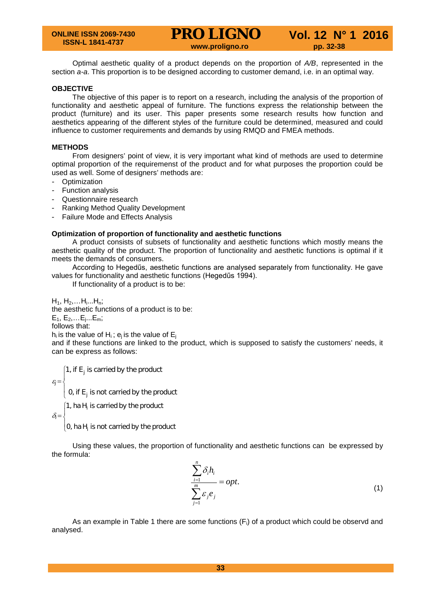Optimal aesthetic quality of a product depends on the proportion of *A/B*, represented in the section *a-a*. This proportion is to be designed according to customer demand, i.e. in an optimal way.

#### **OBJECTIVE**

The objective of this paper is to report on a research, including the analysis of the proportion of functionality and aesthetic appeal of furniture. The functions express the relationship between the product (furniture) and its user. This paper presents some research results how function and aesthetics appearing of the different styles of the furniture could be determined, measured and could influence to customer requirements and demands by using RMQD and FMEA methods.

#### **METHODS**

From designers' point of view, it is very important what kind of methods are used to determine optimal proportion of the requiremenst of the product and for what purposes the proportion could be used as well. Some of designers' methods are:

- Optimization
- Function analysis
- Questionnaire research
- Ranking Method Quality Development
- Failure Mode and Effects Analysis

#### **Optimization of proportion of functionality and aesthetic functions**

A product consists of subsets of functionality and aesthetic functions which mostly means the aesthetic quality of the product. The proportion of functionality and aesthetic functions is optimal if it meets the demands of consumers.

According to Hegedűs, aesthetic functions are analysed separately from functionality. He gave values for functionality and aesthetic functions (Hegedűs 1994).

If functionality of a product is to be:

 $H_1$ ,  $H_2, \ldots H_i$ ... $H_n$ ;

the aesthetic functions of a product is to be:

 $E_1, E_2,...E_j...E_m;$ 

follows that:

h<sub>i</sub> is the value of H<sub>i</sub>;  $e_i$  is the value of  $E_i$ 

and if these functions are linked to the product, which is supposed to satisfy the customers' needs, it can be express as follows:

 $\varepsilon_i =$  $\overline{1}$  $\overline{\mathfrak{l}}$  $\overline{ }$ ₹  $\left[1\right]$  if E<sub>j</sub> is carried by the product 0, if E<sub>j</sub> is not carried by the product  $\delta_i =$  $\vert$ ₹  $\left[1\right]$ , ha $\,$  H<sub>i</sub> is carried by the product

 $\left[0, \text{ha H}_i\right]$  is not carried by the product

Using these values, the proportion of functionality and aesthetic functions can be expressed by the formula:

$$
\frac{\sum_{i=1}^{n} \delta_i h_i}{\sum_{j=1}^{m} \varepsilon_j e_j} = opt.
$$
\n(1)

As an example in Table 1 there are some functions ( $F_i$ ) of a product which could be observd and analysed.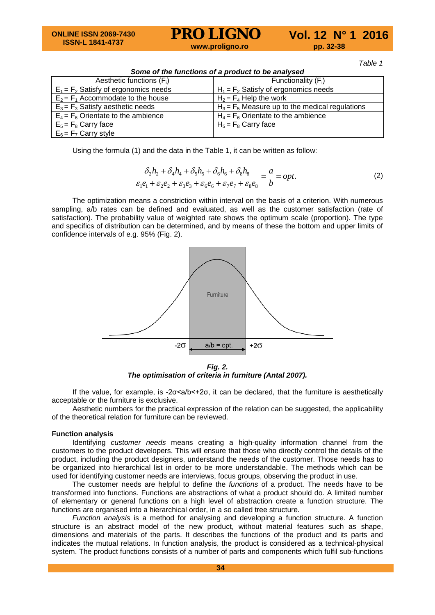*Table 1*

| Some of the functions of a product to be analysed |                                                   |  |  |  |
|---------------------------------------------------|---------------------------------------------------|--|--|--|
| Aesthetic functions $(F_i)$                       | Functionality $(F_i)$                             |  |  |  |
| $E_1 = F_2$ Satisfy of ergonomics needs           | $H_1 = F_2$ Satisfy of ergonomics needs           |  |  |  |
| $E_2 = F_1$ Accommodate to the house              | $H_2 = F_4$ Help the work                         |  |  |  |
| $E_3 = F_3$ Satisfy aesthetic needs               | $H_3 = F_5$ Measure up to the medical regulations |  |  |  |
| $E_4 = F_6$ Orientate to the ambience             | $H_4 = F_6$ Orientate to the ambience             |  |  |  |
| $E_5 = F_8$ Carry face                            | $H_5 = F_8$ Carry face                            |  |  |  |
| $E_6 = F_7$ Carry style                           |                                                   |  |  |  |

Using the formula (1) and the data in the Table 1, it can be written as follow:

$$
\frac{\delta_2 h_2 + \delta_4 h_4 + \delta_5 h_5 + \delta_6 h_6 + \delta_8 h_8}{\varepsilon_1 e_1 + \varepsilon_2 e_2 + \varepsilon_3 e_3 + \varepsilon_6 e_6 + \varepsilon_7 e_7 + \varepsilon_8 e_8} = \frac{a}{b} = opt.
$$
\n(2)

The optimization means a constriction within interval on the basis of a criterion. With numerous sampling, a/b rates can be defined and evaluated, as well as the customer satisfaction (rate of satisfaction). The probability value of weighted rate shows the optimum scale (proportion). The type and specifics of distribution can be determined, and by means of these the bottom and upper limits of confidence intervals of e.g. 95% (Fig. 2).



*Fig. 2. The optimisation of criteria in furniture (Antal 2007).*

If the value, for example, is -2σ<a/b<+2σ, it can be declared, that the furniture is aesthetically acceptable or the furniture is exclusive.

Aesthetic numbers for the practical expression of the relation can be suggested, the applicability of the theoretical relation for furniture can be reviewed.

#### **Function analysis**

Identifying *customer needs* means creating a high-quality information channel from the customers to the product developers. This will ensure that those who directly control the details of the product, including the product designers, understand the needs of the customer. Those needs has to be organized into hierarchical list in order to be more understandable. The methods which can be used for identifying customer needs are interviews, focus groups, observing the product in use.

The customer needs are helpful to define the *functions* of a product. The needs have to be transformed into functions. Functions are abstractions of what a product should do. A limited number of elementary or general functions on a high level of abstraction create a function structure. The functions are organised into a hierarchical order, in a so called tree structure.

*Function analysis* is a method for analysing and developing a function structure. A function structure is an abstract model of the new product, without material features such as shape, dimensions and materials of the parts. It describes the functions of the product and its parts and indicates the mutual relations. In function analysis, the product is considered as a technical-physical system. The product functions consists of a number of parts and components which fulfil sub-functions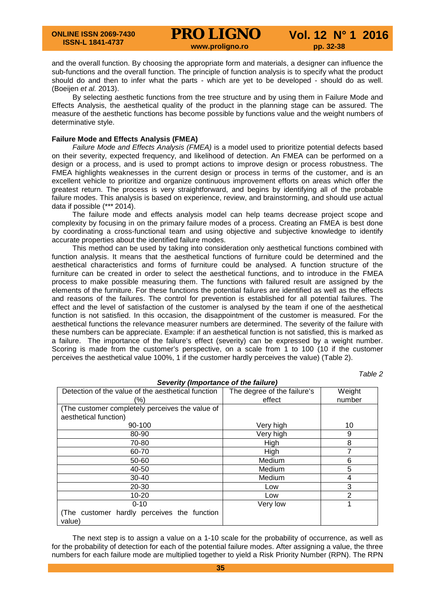and the overall function. By choosing the appropriate form and materials, a designer can influence the sub-functions and the overall function. The principle of function analysis is to specify what the product should do and then to infer what the parts - which are yet to be developed - should do as well. (Boeijen *et al.* 2013).

By selecting aesthetic functions from the tree structure and by using them in Failure Mode and Effects Analysis, the aesthetical quality of the product in the planning stage can be assured. The measure of the aesthetic functions has become possible by functions value and the weight numbers of determinative style.

#### **Failure Mode and Effects Analysis (FMEA)**

*Failure Mode and Effects Analysis (FMEA)* is a model used to prioritize potential defects based on their severity, expected frequency, and likelihood of detection. An FMEA can be performed on a design or a process, and is used to prompt actions to improve design or process robustness. The FMEA highlights weaknesses in the current design or process in terms of the customer, and is an excellent vehicle to prioritize and organize continuous improvement efforts on areas which offer the greatest return. The process is very straightforward, and begins by identifying all of the probable failure modes. This analysis is based on experience, review, and brainstorming, and should use actual data if possible (\*\*\* 2014).

The failure mode and effects analysis model can help teams decrease project scope and complexity by focusing in on the primary failure modes of a process. Creating an FMEA is best done by coordinating a cross-functional team and using objective and subjective knowledge to identify accurate properties about the identified failure modes.

This method can be used by taking into consideration only aesthetical functions combined with function analysis. It means that the aesthetical functions of furniture could be determined and the aesthetical characteristics and forms of furniture could be analysed. A function structure of the furniture can be created in order to select the aesthetical functions, and to introduce in the FMEA process to make possible measuring them. The functions with failured result are assigned by the elements of the furniture. For these functions the potential failures are identified as well as the effects and reasons of the failures. The control for prevention is established for all potential failures. The effect and the level of satisfaction of the customer is analysed by the team if one of the aesthetical function is not satisfied. In this occasion, the disappointment of the customer is measured. For the aesthetical functions the relevance measurer numbers are determined. The severity of the failure with these numbers can be appreciate. Example: if an aesthetical function is not satisfied, this is marked as a failure. The importance of the failure's effect (severity) can be expressed by a weight number. Scoring is made from the customer's perspective, on a scale from 1 to 100 (10 if the customer perceives the aesthetical value 100%, 1 if the customer hardly perceives the value) (Table 2).

*Table 2*

| Severity (Importance of the failure)               |                             |                |  |  |
|----------------------------------------------------|-----------------------------|----------------|--|--|
| Detection of the value of the aesthetical function | The degree of the failure's | Weight         |  |  |
| (%)                                                | effect                      | number         |  |  |
| (The customer completely perceives the value of    |                             |                |  |  |
| aesthetical function)                              |                             |                |  |  |
| 90-100                                             | Very high                   | 10             |  |  |
| 80-90                                              | Very high                   | 9              |  |  |
| 70-80                                              | High                        | 8              |  |  |
| 60-70                                              | High                        | 7              |  |  |
| 50-60                                              | <b>Medium</b>               | 6              |  |  |
| 40-50                                              | <b>Medium</b>               | 5              |  |  |
| $30 - 40$                                          | <b>Medium</b>               | 4              |  |  |
| 20-30                                              | Low                         | 3              |  |  |
| $10 - 20$                                          | Low                         | $\overline{2}$ |  |  |
| $0 - 10$                                           | Very low                    | 1              |  |  |
| (The customer hardly perceives the function        |                             |                |  |  |
| value)                                             |                             |                |  |  |

The next step is to assign a value on a 1-10 scale for the probability of occurrence, as well as for the probability of detection for each of the potential failure modes. After assigning a value, the three numbers for each failure mode are multiplied together to yield a Risk Priority Number (RPN). The RPN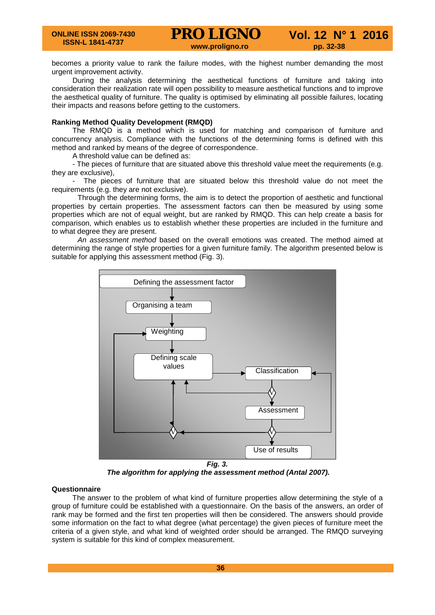becomes a priority value to rank the failure modes, with the highest number demanding the most urgent improvement activity.

During the analysis determining the aesthetical functions of furniture and taking into consideration their realization rate will open possibility to measure aesthetical functions and to improve the aesthetical quality of furniture. The quality is optimised by eliminating all possible failures, locating their impacts and reasons before getting to the customers.

#### **Ranking Method Quality Development (RMQD)**

The RMQD is a method which is used for matching and comparison of furniture and concurrency analysis. Compliance with the functions of the determining forms is defined with this method and ranked by means of the degree of correspondence.

A threshold value can be defined as:

- The pieces of furniture that are situated above this threshold value meet the requirements (e.g. they are exclusive),

- The pieces of furniture that are situated below this threshold value do not meet the requirements (e.g. they are not exclusive).

Through the determining forms, the aim is to detect the proportion of aesthetic and functional properties by certain properties. The assessment factors can then be measured by using some properties which are not of equal weight, but are ranked by RMQD. This can help create a basis for comparison, which enables us to establish whether these properties are included in the furniture and to what degree they are present.

*An assessment method* based on the overall emotions was created. The method aimed at determining the range of style properties for a given furniture family. The algorithm presented below is suitable for applying this assessment method (Fig. 3).



*The algorithm for applying the assessment method (Antal 2007).*

#### **Questionnaire**

The answer to the problem of what kind of furniture properties allow determining the style of a group of furniture could be established with a questionnaire. On the basis of the answers, an order of rank may be formed and the first ten properties will then be considered. The answers should provide some information on the fact to what degree (what percentage) the given pieces of furniture meet the criteria of a given style, and what kind of weighted order should be arranged. The RMQD surveying system is suitable for this kind of complex measurement.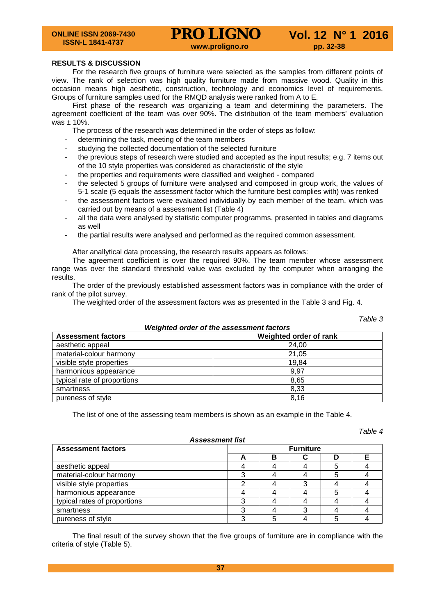#### **RESULTS & DISCUSSION**

For the research five groups of furniture were selected as the samples from different points of view. The rank of selection was high quality furniture made from massive wood. Quality in this occasion means high aesthetic, construction, technology and economics level of requirements. Groups of furniture samples used for the RMQD analysis were ranked from A to E.

First phase of the research was organizing a team and determining the parameters. The agreement coefficient of the team was over 90%. The distribution of the team members' evaluation was  $± 10%$ .

The process of the research was determined in the order of steps as follow:

- determining the task, meeting of the team members
- studying the collected documentation of the selected furniture
- the previous steps of research were studied and accepted as the input results; e.g. 7 items out of the 10 style properties was considered as characteristic of the style
- the properties and requirements were classified and weighed compared
- the selected 5 groups of furniture were analysed and composed in group work, the values of 5-1 scale (5 equals the assessment factor which the furniture best complies with) was renked
- the assessment factors were evaluated individually by each member of the team, which was carried out by means of a assessment list (Table 4)
- all the data were analysed by statistic computer programms, presented in tables and diagrams as well
- the partial results were analysed and performed as the required common assessment.

After anallytical data processing, the research results appears as follows:

The agreement coefficient is over the required 90%. The team member whose assessment range was over the standard threshold value was excluded by the computer when arranging the results.

The order of the previously established assessment factors was in compliance with the order of rank of the pilot survey.

The weighted order of the assessment factors was as presented in the Table 3 and Fig. 4.

| , uviv v<br>Weighted order of the assessment factors |                        |  |  |  |
|------------------------------------------------------|------------------------|--|--|--|
| <b>Assessment factors</b>                            | Weighted order of rank |  |  |  |
| aesthetic appeal                                     | 24,00                  |  |  |  |
| material-colour harmony                              | 21,05                  |  |  |  |
| visible style properties                             | 19,84                  |  |  |  |
| harmonious appearance                                | 9,97                   |  |  |  |
| typical rate of proportions                          | 8,65                   |  |  |  |
| smartness                                            | 8,33                   |  |  |  |
| pureness of style                                    | 8,16                   |  |  |  |

The list of one of the assessing team members is shown as an example in the Table 4.

#### *Table 4*

*Table 3*

| ASSESSINGIN IISL             |                  |   |  |   |  |
|------------------------------|------------------|---|--|---|--|
| <b>Assessment factors</b>    | <b>Furniture</b> |   |  |   |  |
|                              | −                | в |  | D |  |
| aesthetic appeal             |                  |   |  |   |  |
| material-colour harmony      |                  |   |  |   |  |
| visible style properties     |                  |   |  |   |  |
| harmonious appearance        |                  |   |  |   |  |
| typical rates of proportions |                  |   |  |   |  |
| smartness                    |                  |   |  |   |  |
| pureness of style            |                  |   |  |   |  |

*Assessment list*

The final result of the survey shown that the five groups of furniture are in compliance with the criteria of style (Table 5).